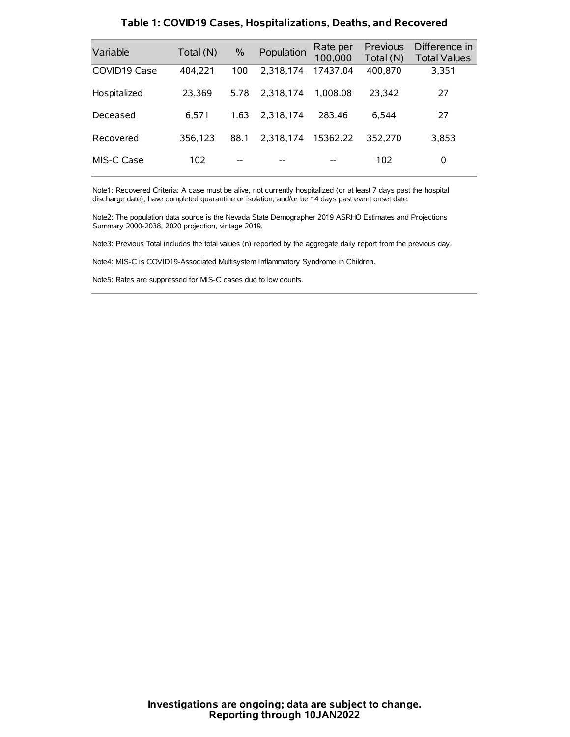| Variable     | Total (N) | $\frac{0}{0}$ | Population | Rate per<br>100,000 | <b>Previous</b><br>Total (N) | Difference in<br><b>Total Values</b> |
|--------------|-----------|---------------|------------|---------------------|------------------------------|--------------------------------------|
| COVID19 Case | 404,221   | 100           | 2.318.174  | 17437.04            | 400,870                      | 3,351                                |
| Hospitalized | 23,369    | 5.78          | 2.318.174  | 1.008.08            | 23.342                       | 27                                   |
| Deceased     | 6.571     | 1.63          | 2.318.174  | 283.46              | 6.544                        | 27                                   |
| Recovered    | 356,123   | 88.1          | 2.318.174  | 15362.22            | 352,270                      | 3,853                                |
| MIS-C Case   | 102       | --            |            |                     | 102                          | 0                                    |

#### **Table 1: COVID19 Cases, Hospitalizations, Deaths, and Recovered**

Note1: Recovered Criteria: A case must be alive, not currently hospitalized (or at least 7 days past the hospital discharge date), have completed quarantine or isolation, and/or be 14 days past event onset date.

Note2: The population data source is the Nevada State Demographer 2019 ASRHO Estimates and Projections Summary 2000-2038, 2020 projection, vintage 2019.

Note3: Previous Total includes the total values (n) reported by the aggregate daily report from the previous day.

Note4: MIS-C is COVID19-Associated Multisystem Inflammatory Syndrome in Children.

Note5: Rates are suppressed for MIS-C cases due to low counts.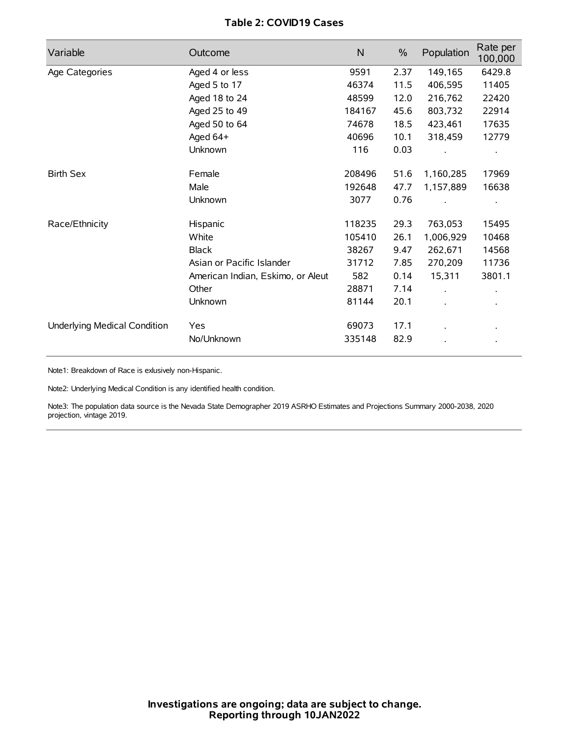# **Table 2: COVID19 Cases**

| Variable                     | Outcome                           | $\mathsf{N}$ | $\%$ | Population | Rate per<br>100,000 |
|------------------------------|-----------------------------------|--------------|------|------------|---------------------|
| Age Categories               | Aged 4 or less                    | 9591         | 2.37 | 149,165    | 6429.8              |
|                              | Aged 5 to 17                      | 46374        | 11.5 | 406,595    | 11405               |
|                              | Aged 18 to 24                     | 48599        | 12.0 | 216,762    | 22420               |
|                              | Aged 25 to 49                     | 184167       | 45.6 | 803,732    | 22914               |
|                              | Aged 50 to 64                     | 74678        | 18.5 | 423,461    | 17635               |
|                              | Aged 64+                          | 40696        | 10.1 | 318,459    | 12779               |
|                              | Unknown                           | 116          | 0.03 |            |                     |
| <b>Birth Sex</b>             | Female                            | 208496       | 51.6 | 1,160,285  | 17969               |
|                              | Male                              | 192648       | 47.7 | 1,157,889  | 16638               |
|                              | Unknown                           | 3077         | 0.76 |            |                     |
| Race/Ethnicity               | Hispanic                          | 118235       | 29.3 | 763,053    | 15495               |
|                              | White                             | 105410       | 26.1 | 1,006,929  | 10468               |
|                              | <b>Black</b>                      | 38267        | 9.47 | 262,671    | 14568               |
|                              | Asian or Pacific Islander         | 31712        | 7.85 | 270,209    | 11736               |
|                              | American Indian, Eskimo, or Aleut | 582          | 0.14 | 15,311     | 3801.1              |
|                              | Other                             | 28871        | 7.14 |            |                     |
|                              | Unknown                           | 81144        | 20.1 |            |                     |
| Underlying Medical Condition | Yes                               | 69073        | 17.1 |            |                     |
|                              | No/Unknown                        | 335148       | 82.9 |            |                     |

Note1: Breakdown of Race is exlusively non-Hispanic.

Note2: Underlying Medical Condition is any identified health condition.

Note3: The population data source is the Nevada State Demographer 2019 ASRHO Estimates and Projections Summary 2000-2038, 2020 projection, vintage 2019.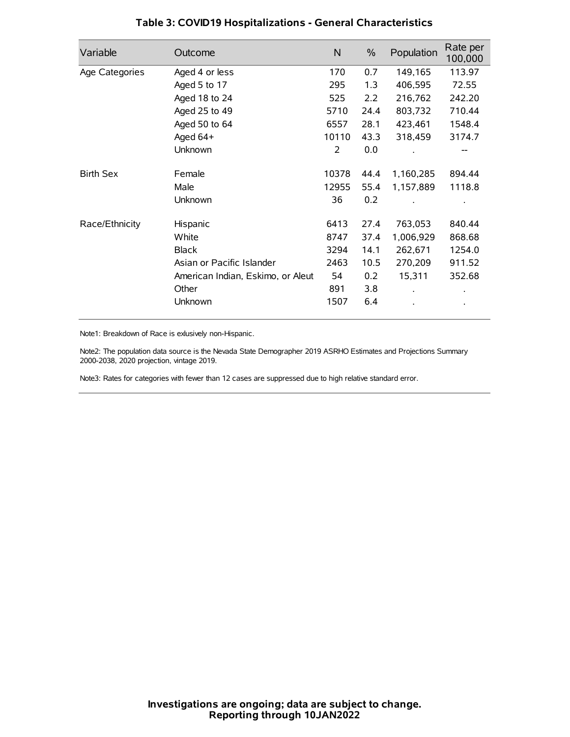| Variable         | Outcome                           | $\mathsf{N}$ | $\%$ | Population | Rate per<br>100,000 |
|------------------|-----------------------------------|--------------|------|------------|---------------------|
| Age Categories   | Aged 4 or less                    | 170          | 0.7  | 149,165    | 113.97              |
|                  | Aged 5 to 17                      | 295          | 1.3  | 406,595    | 72.55               |
|                  | Aged 18 to 24                     | 525          | 2.2  | 216,762    | 242.20              |
|                  | Aged 25 to 49                     | 5710         | 24.4 | 803,732    | 710.44              |
|                  | Aged 50 to 64                     | 6557         | 28.1 | 423,461    | 1548.4              |
|                  | Aged 64+                          | 10110        | 43.3 | 318,459    | 3174.7              |
|                  | Unknown                           | 2            | 0.0  |            |                     |
| <b>Birth Sex</b> | Female                            | 10378        | 44.4 | 1,160,285  | 894.44              |
|                  | Male                              | 12955        | 55.4 | 1,157,889  | 1118.8              |
|                  | Unknown                           | 36           | 0.2  |            |                     |
| Race/Ethnicity   | Hispanic                          | 6413         | 27.4 | 763,053    | 840.44              |
|                  | White                             | 8747         | 37.4 | 1,006,929  | 868.68              |
|                  | <b>Black</b>                      | 3294         | 14.1 | 262,671    | 1254.0              |
|                  | Asian or Pacific Islander         | 2463         | 10.5 | 270,209    | 911.52              |
|                  | American Indian, Eskimo, or Aleut | 54           | 0.2  | 15,311     | 352.68              |
|                  | Other                             | 891          | 3.8  |            |                     |
|                  | Unknown                           | 1507         | 6.4  |            |                     |

# **Table 3: COVID19 Hospitalizations - General Characteristics**

Note1: Breakdown of Race is exlusively non-Hispanic.

Note2: The population data source is the Nevada State Demographer 2019 ASRHO Estimates and Projections Summary 2000-2038, 2020 projection, vintage 2019.

Note3: Rates for categories with fewer than 12 cases are suppressed due to high relative standard error.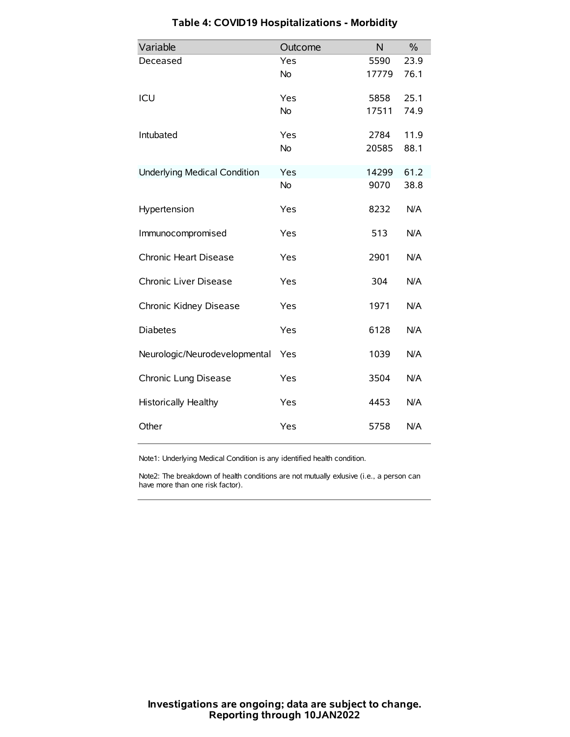| Variable                            | Outcome   | N     | $\frac{0}{0}$ |
|-------------------------------------|-----------|-------|---------------|
| Deceased                            | Yes       | 5590  | 23.9          |
|                                     | No        | 17779 | 76.1          |
| ICU                                 | Yes       | 5858  | 25.1          |
|                                     | <b>No</b> | 17511 | 74.9          |
| Intubated                           | Yes       | 2784  | 11.9          |
|                                     | No        | 20585 | 88.1          |
| <b>Underlying Medical Condition</b> | Yes       | 14299 | 61.2          |
|                                     | No        | 9070  | 38.8          |
| Hypertension                        | Yes       | 8232  | N/A           |
| Immunocompromised                   | Yes       | 513   | N/A           |
| Chronic Heart Disease               | Yes       | 2901  | N/A           |
| Chronic Liver Disease               | Yes       | 304   | N/A           |
| Chronic Kidney Disease              | Yes       | 1971  | N/A           |
| <b>Diabetes</b>                     | Yes       | 6128  | N/A           |
| Neurologic/Neurodevelopmental       | Yes       | 1039  | N/A           |
| Chronic Lung Disease                | Yes       | 3504  | N/A           |
| <b>Historically Healthy</b>         | Yes       | 4453  | N/A           |
| Other                               | Yes       | 5758  | N/A           |

# **Table 4: COVID19 Hospitalizations - Morbidity**

Note1: Underlying Medical Condition is any identified health condition.

Note2: The breakdown of health conditions are not mutually exlusive (i.e., a person can have more than one risk factor).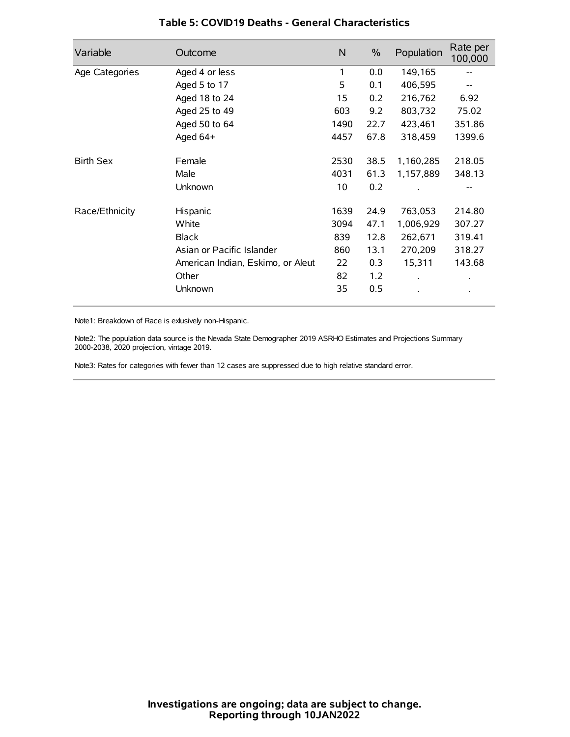| Variable         | Outcome                           | N    | $\%$ | Population | Rate per<br>100,000 |
|------------------|-----------------------------------|------|------|------------|---------------------|
| Age Categories   | Aged 4 or less                    | 1    | 0.0  | 149,165    |                     |
|                  | Aged 5 to 17                      | 5    | 0.1  | 406,595    |                     |
|                  | Aged 18 to 24                     | 15   | 0.2  | 216,762    | 6.92                |
|                  | Aged 25 to 49                     | 603  | 9.2  | 803,732    | 75.02               |
|                  | Aged 50 to 64                     | 1490 | 22.7 | 423,461    | 351.86              |
|                  | Aged 64+                          | 4457 | 67.8 | 318,459    | 1399.6              |
| <b>Birth Sex</b> | Female                            | 2530 | 38.5 | 1,160,285  | 218.05              |
|                  | Male                              | 4031 | 61.3 | 1,157,889  | 348.13              |
|                  | Unknown                           | 10   | 0.2  |            |                     |
| Race/Ethnicity   | Hispanic                          | 1639 | 24.9 | 763,053    | 214.80              |
|                  | White                             | 3094 | 47.1 | 1,006,929  | 307.27              |
|                  | <b>Black</b>                      | 839  | 12.8 | 262,671    | 319.41              |
|                  | Asian or Pacific Islander         | 860  | 13.1 | 270,209    | 318.27              |
|                  | American Indian, Eskimo, or Aleut | 22   | 0.3  | 15,311     | 143.68              |
|                  | Other                             | 82   | 1.2  |            | $\bullet$           |
|                  | Unknown                           | 35   | 0.5  |            | $\bullet$           |

### **Table 5: COVID19 Deaths - General Characteristics**

Note1: Breakdown of Race is exlusively non-Hispanic.

Note2: The population data source is the Nevada State Demographer 2019 ASRHO Estimates and Projections Summary 2000-2038, 2020 projection, vintage 2019.

Note3: Rates for categories with fewer than 12 cases are suppressed due to high relative standard error.